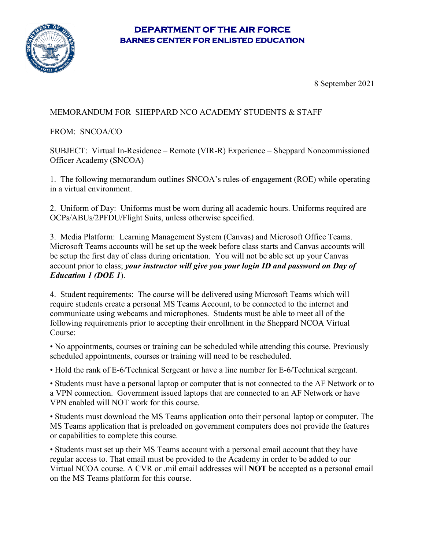## **DEPARTMENT OF THE AIR FORCE BARNES CENTER FOR ENLISTED EDUCATION**



8 September 2021

## MEMORANDUM FOR SHEPPARD NCO ACADEMY STUDENTS & STAFF

FROM: SNCOA/CO

SUBJECT: Virtual In-Residence – Remote (VIR-R) Experience – Sheppard Noncommissioned Officer Academy (SNCOA)

1. The following memorandum outlines SNCOA's rules-of-engagement (ROE) while operating in a virtual environment.

2. Uniform of Day: Uniforms must be worn during all academic hours. Uniforms required are OCPs/ABUs/2PFDU/Flight Suits, unless otherwise specified.

3. Media Platform: Learning Management System (Canvas) and Microsoft Office Teams. Microsoft Teams accounts will be set up the week before class starts and Canvas accounts will be setup the first day of class during orientation. You will not be able set up your Canvas account prior to class; *your instructor will give you your login ID and password on Day of Education 1 (DOE 1*).

4. Student requirements: The course will be delivered using Microsoft Teams which will require students create a personal MS Teams Account, to be connected to the internet and communicate using webcams and microphones. Students must be able to meet all of the following requirements prior to accepting their enrollment in the Sheppard NCOA Virtual Course:

• No appointments, courses or training can be scheduled while attending this course. Previously scheduled appointments, courses or training will need to be rescheduled.

• Hold the rank of E-6/Technical Sergeant or have a line number for E-6/Technical sergeant.

• Students must have a personal laptop or computer that is not connected to the AF Network or to a VPN connection. Government issued laptops that are connected to an AF Network or have VPN enabled will NOT work for this course.

• Students must download the MS Teams application onto their personal laptop or computer. The MS Teams application that is preloaded on government computers does not provide the features or capabilities to complete this course.

• Students must set up their MS Teams account with a personal email account that they have regular access to. That email must be provided to the Academy in order to be added to our Virtual NCOA course. A CVR or .mil email addresses will **NOT** be accepted as a personal email on the MS Teams platform for this course.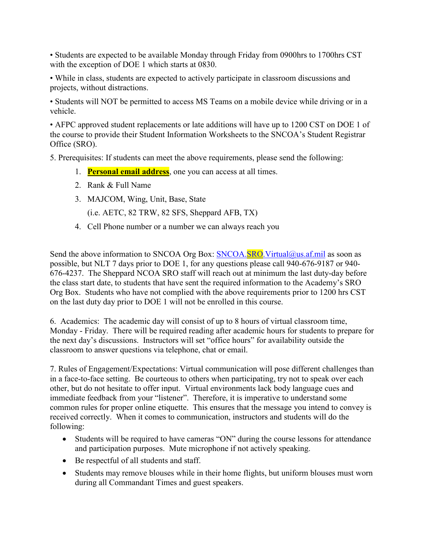• Students are expected to be available Monday through Friday from 0900hrs to 1700hrs CST with the exception of DOE 1 which starts at 0830.

• While in class, students are expected to actively participate in classroom discussions and projects, without distractions.

• Students will NOT be permitted to access MS Teams on a mobile device while driving or in a vehicle.

• AFPC approved student replacements or late additions will have up to 1200 CST on DOE 1 of the course to provide their Student Information Worksheets to the SNCOA's Student Registrar Office (SRO).

5. Prerequisites: If students can meet the above requirements, please send the following:

- 1. **Personal email address**, one you can access at all times.
- 2. Rank & Full Name
- 3. MAJCOM, Wing, Unit, Base, State

(i.e. AETC, 82 TRW, 82 SFS, Sheppard AFB, TX)

4. Cell Phone number or a number we can always reach you

Send the above information to SNCOA Org Box: SNCOA.SRO. Virtual@us.af.mil as soon as possible, but NLT 7 days prior to DOE 1, for any questions please call 940-676-9187 or 940- 676-4237. The Sheppard NCOA SRO staff will reach out at minimum the last duty-day before the class start date, to students that have sent the required information to the Academy's SRO Org Box. Students who have not complied with the above requirements prior to 1200 hrs CST on the last duty day prior to DOE 1 will not be enrolled in this course.

6. Academics: The academic day will consist of up to 8 hours of virtual classroom time, Monday - Friday. There will be required reading after academic hours for students to prepare for the next day's discussions. Instructors will set "office hours" for availability outside the classroom to answer questions via telephone, chat or email.

7. Rules of Engagement/Expectations: Virtual communication will pose different challenges than in a face-to-face setting. Be courteous to others when participating, try not to speak over each other, but do not hesitate to offer input. Virtual environments lack body language cues and immediate feedback from your "listener". Therefore, it is imperative to understand some common rules for proper online etiquette. This ensures that the message you intend to convey is received correctly. When it comes to communication, instructors and students will do the following:

- Students will be required to have cameras "ON" during the course lessons for attendance and participation purposes. Mute microphone if not actively speaking.
- Be respectful of all students and staff.
- Students may remove blouses while in their home flights, but uniform blouses must worn during all Commandant Times and guest speakers.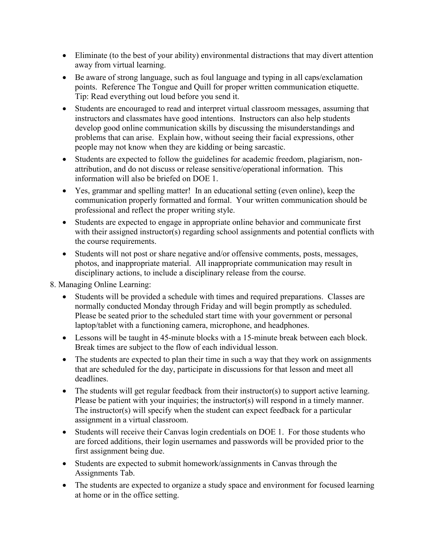- Eliminate (to the best of your ability) environmental distractions that may divert attention away from virtual learning.
- Be aware of strong language, such as foul language and typing in all caps/exclamation points. Reference The Tongue and Quill for proper written communication etiquette. Tip: Read everything out loud before you send it.
- Students are encouraged to read and interpret virtual classroom messages, assuming that instructors and classmates have good intentions. Instructors can also help students develop good online communication skills by discussing the misunderstandings and problems that can arise. Explain how, without seeing their facial expressions, other people may not know when they are kidding or being sarcastic.
- Students are expected to follow the guidelines for academic freedom, plagiarism, nonattribution, and do not discuss or release sensitive/operational information. This information will also be briefed on DOE 1.
- Yes, grammar and spelling matter! In an educational setting (even online), keep the communication properly formatted and formal. Your written communication should be professional and reflect the proper writing style.
- Students are expected to engage in appropriate online behavior and communicate first with their assigned instructor(s) regarding school assignments and potential conflicts with the course requirements.
- Students will not post or share negative and/or offensive comments, posts, messages, photos, and inappropriate material. All inappropriate communication may result in disciplinary actions, to include a disciplinary release from the course.

8. Managing Online Learning:

- Students will be provided a schedule with times and required preparations. Classes are normally conducted Monday through Friday and will begin promptly as scheduled. Please be seated prior to the scheduled start time with your government or personal laptop/tablet with a functioning camera, microphone, and headphones.
- Lessons will be taught in 45-minute blocks with a 15-minute break between each block. Break times are subject to the flow of each individual lesson.
- The students are expected to plan their time in such a way that they work on assignments that are scheduled for the day, participate in discussions for that lesson and meet all deadlines.
- The students will get regular feedback from their instructor(s) to support active learning. Please be patient with your inquiries; the instructor(s) will respond in a timely manner. The instructor(s) will specify when the student can expect feedback for a particular assignment in a virtual classroom.
- Students will receive their Canvas login credentials on DOE 1. For those students who are forced additions, their login usernames and passwords will be provided prior to the first assignment being due.
- Students are expected to submit homework/assignments in Canvas through the Assignments Tab.
- The students are expected to organize a study space and environment for focused learning at home or in the office setting.